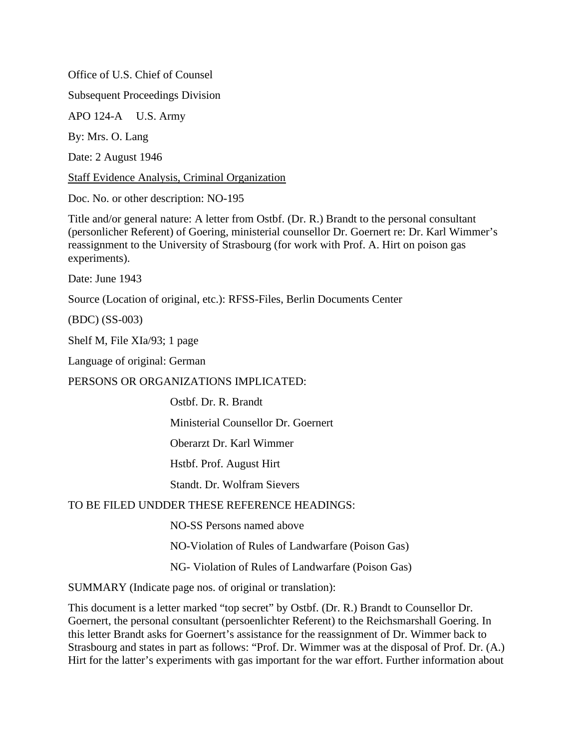Office of U.S. Chief of Counsel

Subsequent Proceedings Division

APO 124-A U.S. Army

By: Mrs. O. Lang

Date: 2 August 1946

Staff Evidence Analysis, Criminal Organization

Doc. No. or other description: NO-195

Title and/or general nature: A letter from Ostbf. (Dr. R.) Brandt to the personal consultant (personlicher Referent) of Goering, ministerial counsellor Dr. Goernert re: Dr. Karl Wimmer's reassignment to the University of Strasbourg (for work with Prof. A. Hirt on poison gas experiments).

Date: June 1943

Source (Location of original, etc.): RFSS-Files, Berlin Documents Center

(BDC) (SS-003)

Shelf M, File XIa/93; 1 page

Language of original: German

PERSONS OR ORGANIZATIONS IMPLICATED:

Ostbf. Dr. R. Brandt

Ministerial Counsellor Dr. Goernert

Oberarzt Dr. Karl Wimmer

Hstbf. Prof. August Hirt

Standt. Dr. Wolfram Sievers

## TO BE FILED UNDDER THESE REFERENCE HEADINGS:

NO-SS Persons named above

NO-Violation of Rules of Landwarfare (Poison Gas)

NG- Violation of Rules of Landwarfare (Poison Gas)

SUMMARY (Indicate page nos. of original or translation):

This document is a letter marked "top secret" by Ostbf. (Dr. R.) Brandt to Counsellor Dr. Goernert, the personal consultant (persoenlichter Referent) to the Reichsmarshall Goering. In this letter Brandt asks for Goernert's assistance for the reassignment of Dr. Wimmer back to Strasbourg and states in part as follows: "Prof. Dr. Wimmer was at the disposal of Prof. Dr. (A.) Hirt for the latter's experiments with gas important for the war effort. Further information about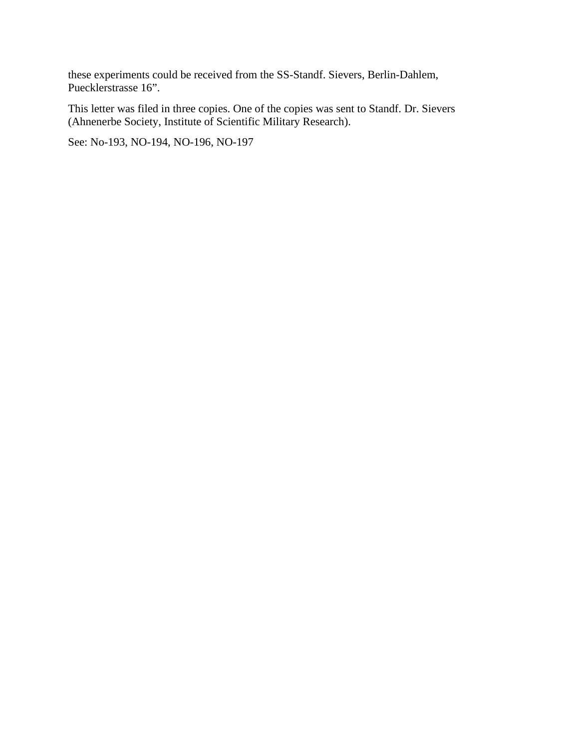these experiments could be received from the SS-Standf. Sievers, Berlin-Dahlem, Puecklerstrasse 16".

This letter was filed in three copies. One of the copies was sent to Standf. Dr. Sievers (Ahnenerbe Society, Institute of Scientific Military Research).

See: No-193, NO-194, NO-196, NO-197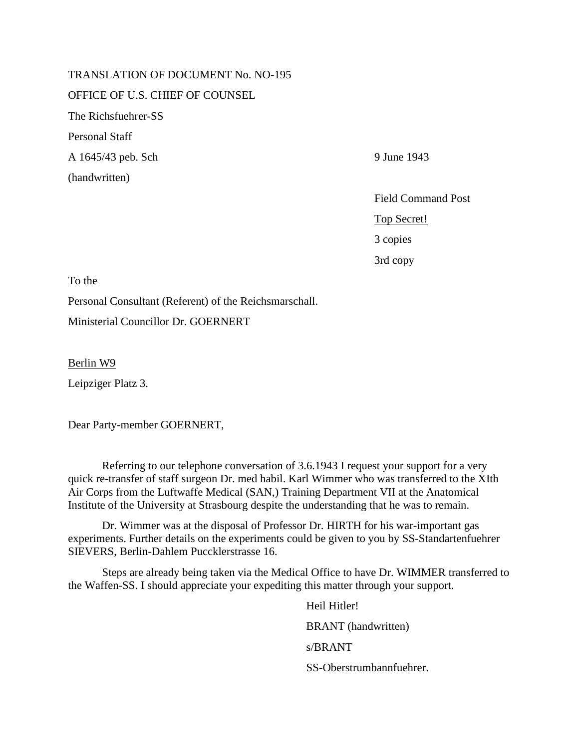TRANSLATION OF DOCUMENT No. NO-195 OFFICE OF U.S. CHIEF OF COUNSEL The Richsfuehrer-SS Personal Staff A 1645/43 peb. Sch 9 June 1943 (handwritten)

Field Command Post Top Secret! 3 copies 3rd copy

To the

Personal Consultant (Referent) of the Reichsmarschall.

Ministerial Councillor Dr. GOERNERT

Berlin W9

Leipziger Platz 3.

Dear Party-member GOERNERT,

Referring to our telephone conversation of 3.6.1943 I request your support for a very quick re-transfer of staff surgeon Dr. med habil. Karl Wimmer who was transferred to the XIth Air Corps from the Luftwaffe Medical (SAN,) Training Department VII at the Anatomical Institute of the University at Strasbourg despite the understanding that he was to remain.

Dr. Wimmer was at the disposal of Professor Dr. HIRTH for his war-important gas experiments. Further details on the experiments could be given to you by SS-Standartenfuehrer SIEVERS, Berlin-Dahlem Puccklerstrasse 16.

Steps are already being taken via the Medical Office to have Dr. WIMMER transferred to the Waffen-SS. I should appreciate your expediting this matter through your support.

> Heil Hitler! BRANT (handwritten) s/BRANT SS-Oberstrumbannfuehrer.